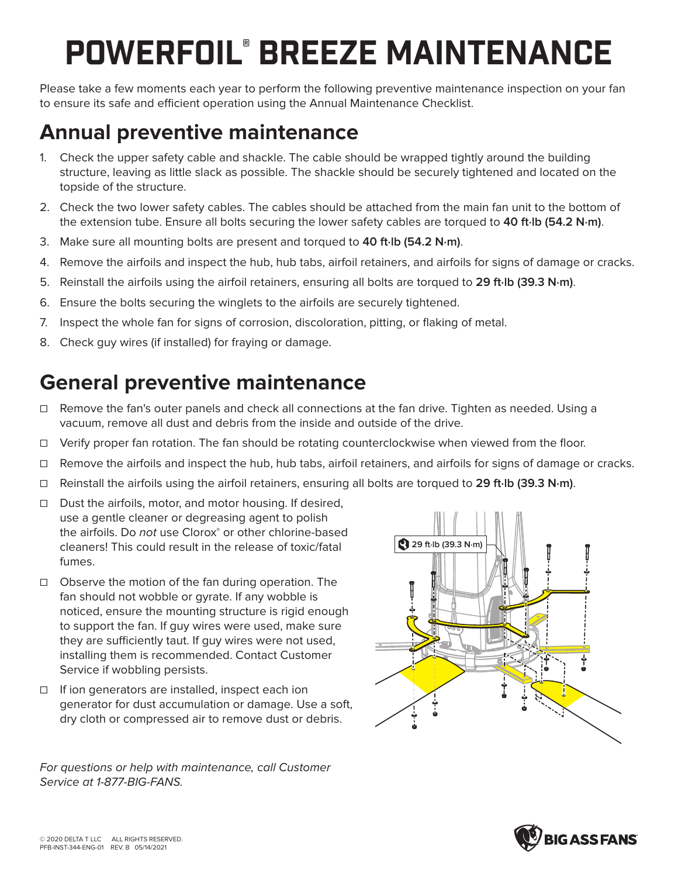## POWERFOIL® BREEZE MAINTENANCE

Please take a few moments each year to perform the following preventive maintenance inspection on your fan to ensure its safe and efficient operation using the Annual Maintenance Checklist.

## **Annual preventive maintenance**

- 1. Check the upper safety cable and shackle. The cable should be wrapped tightly around the building structure, leaving as little slack as possible. The shackle should be securely tightened and located on the topside of the structure.
- 2. Check the two lower safety cables. The cables should be attached from the main fan unit to the bottom of the extension tube. Ensure all bolts securing the lower safety cables are torqued to **40 ft·lb (54.2 N·m)**.
- 3. Make sure all mounting bolts are present and torqued to **40 ft·lb (54.2 N·m)**.
- 4. Remove the airfoils and inspect the hub, hub tabs, airfoil retainers, and airfoils for signs of damage or cracks.
- 5. Reinstall the airfoils using the airfoil retainers, ensuring all bolts are torqued to **29 ft·lb (39.3 N·m)**.
- 6. Ensure the bolts securing the winglets to the airfoils are securely tightened.
- 7. Inspect the whole fan for signs of corrosion, discoloration, pitting, or flaking of metal.
- 8. Check guy wires (if installed) for fraying or damage.

## **General preventive maintenance**

- ☐ Remove the fan's outer panels and check all connections at the fan drive. Tighten as needed. Using a vacuum, remove all dust and debris from the inside and outside of the drive.
- ☐ Verify proper fan rotation. The fan should be rotating counterclockwise when viewed from the floor.
- ☐ Remove the airfoils and inspect the hub, hub tabs, airfoil retainers, and airfoils for signs of damage or cracks.
- ☐ Reinstall the airfoils using the airfoil retainers, ensuring all bolts are torqued to **29 ft·lb (39.3 N·m)**.
- ☐ Dust the airfoils, motor, and motor housing. If desired, use a gentle cleaner or degreasing agent to polish the airfoils. Do not use Clorox® or other chlorine-based cleaners! This could result in the release of toxic/fatal fumes.
- ☐ Observe the motion of the fan during operation. The fan should not wobble or gyrate. If any wobble is noticed, ensure the mounting structure is rigid enough to support the fan. If guy wires were used, make sure they are sufficiently taut. If guy wires were not used, installing them is recommended. Contact Customer Service if wobbling persists.
- ☐ If ion generators are installed, inspect each ion generator for dust accumulation or damage. Use a soft, dry cloth or compressed air to remove dust or debris.

For questions or help with maintenance, call Customer Service at 1-877-BIG-FANS.